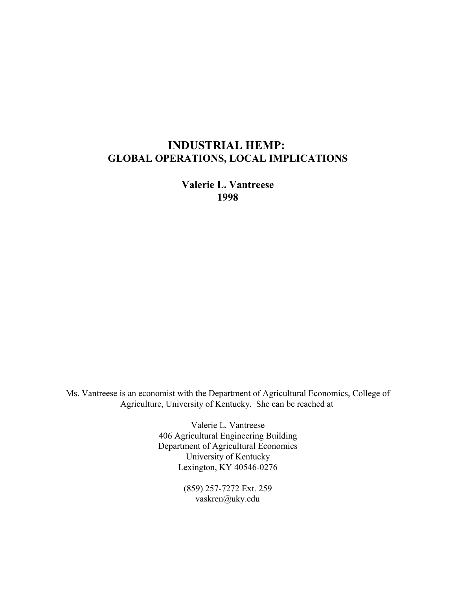# **INDUSTRIAL HEMP: GLOBAL OPERATIONS, LOCAL IMPLICATIONS**

**Valerie L. Vantreese 1998**

Ms. Vantreese is an economist with the Department of Agricultural Economics, College of Agriculture, University of Kentucky. She can be reached at

> Valerie L. Vantreese 406 Agricultural Engineering Building Department of Agricultural Economics University of Kentucky Lexington, KY 40546-0276

> > (859) 257-7272 Ext. 259 vaskren@uky.edu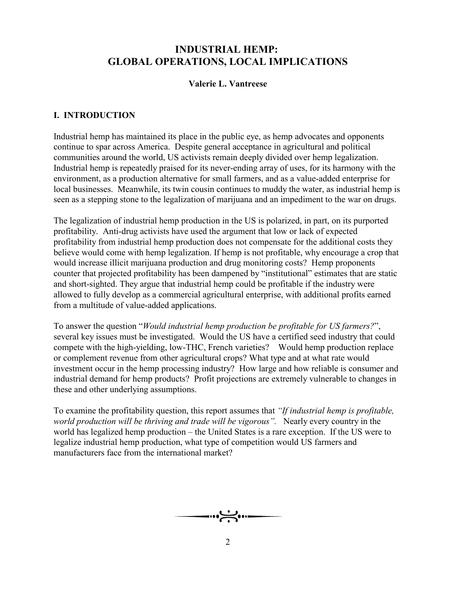# **INDUSTRIAL HEMP: GLOBAL OPERATIONS, LOCAL IMPLICATIONS**

# **Valerie L. Vantreese**

# **I. INTRODUCTION**

Industrial hemp has maintained its place in the public eye, as hemp advocates and opponents continue to spar across America. Despite general acceptance in agricultural and political communities around the world, US activists remain deeply divided over hemp legalization. Industrial hemp is repeatedly praised for its never-ending array of uses, for its harmony with the environment, as a production alternative for small farmers, and as a value-added enterprise for local businesses. Meanwhile, its twin cousin continues to muddy the water, as industrial hemp is seen as a stepping stone to the legalization of marijuana and an impediment to the war on drugs.

The legalization of industrial hemp production in the US is polarized, in part, on its purported profitability. Anti-drug activists have used the argument that low or lack of expected profitability from industrial hemp production does not compensate for the additional costs they believe would come with hemp legalization. If hemp is not profitable, why encourage a crop that would increase illicit marijuana production and drug monitoring costs? Hemp proponents counter that projected profitability has been dampened by "institutional" estimates that are static and short-sighted. They argue that industrial hemp could be profitable if the industry were allowed to fully develop as a commercial agricultural enterprise, with additional profits earned from a multitude of value-added applications.

To answer the question "*Would industrial hemp production be profitable for US farmers?*", several key issues must be investigated. Would the US have a certified seed industry that could compete with the high-yielding, low-THC, French varieties? Would hemp production replace or complement revenue from other agricultural crops? What type and at what rate would investment occur in the hemp processing industry? How large and how reliable is consumer and industrial demand for hemp products? Profit projections are extremely vulnerable to changes in these and other underlying assumptions.

To examine the profitability question, this report assumes that *ìIf industrial hemp is profitable, world production will be thriving and trade will be vigorous*". Nearly every country in the world has legalized hemp production  $-$  the United States is a rare exception. If the US were to legalize industrial hemp production, what type of competition would US farmers and manufacturers face from the international market?

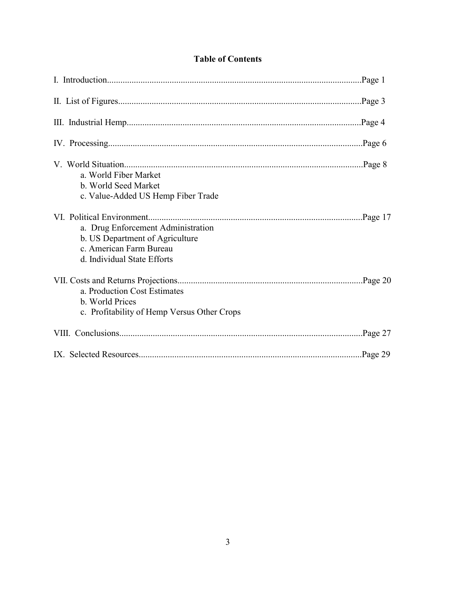|  | <b>Table of Contents</b> |  |
|--|--------------------------|--|
|  |                          |  |

| a. World Fiber Market<br>b. World Seed Market<br>c. Value-Added US Hemp Fiber Trade                                             |         |
|---------------------------------------------------------------------------------------------------------------------------------|---------|
| a. Drug Enforcement Administration<br>b. US Department of Agriculture<br>c. American Farm Bureau<br>d. Individual State Efforts |         |
| a. Production Cost Estimates<br>b. World Prices<br>c. Profitability of Hemp Versus Other Crops                                  |         |
|                                                                                                                                 | Page 27 |
|                                                                                                                                 | Page 29 |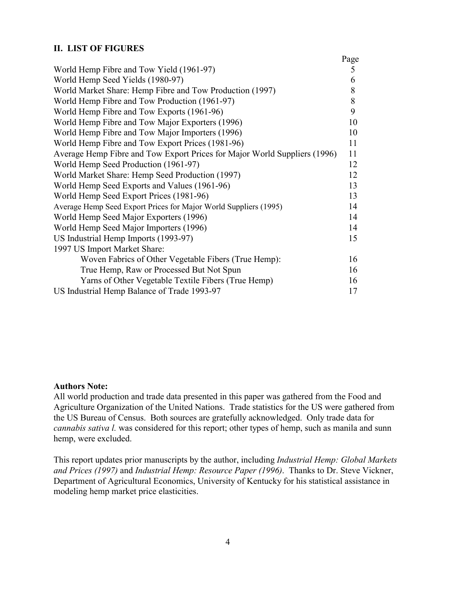# **II. LIST OF FIGURES**

|                                                                           | Page |
|---------------------------------------------------------------------------|------|
| World Hemp Fibre and Tow Yield (1961-97)                                  | 5    |
| World Hemp Seed Yields (1980-97)                                          | 6    |
| World Market Share: Hemp Fibre and Tow Production (1997)                  | 8    |
| World Hemp Fibre and Tow Production (1961-97)                             | 8    |
| World Hemp Fibre and Tow Exports (1961-96)                                | 9    |
| World Hemp Fibre and Tow Major Exporters (1996)                           | 10   |
| World Hemp Fibre and Tow Major Importers (1996)                           | 10   |
| World Hemp Fibre and Tow Export Prices (1981-96)                          | 11   |
| Average Hemp Fibre and Tow Export Prices for Major World Suppliers (1996) | 11   |
| World Hemp Seed Production (1961-97)                                      | 12   |
| World Market Share: Hemp Seed Production (1997)                           | 12   |
| World Hemp Seed Exports and Values (1961-96)                              | 13   |
| World Hemp Seed Export Prices (1981-96)                                   | 13   |
| Average Hemp Seed Export Prices for Major World Suppliers (1995)          | 14   |
| World Hemp Seed Major Exporters (1996)                                    | 14   |
| World Hemp Seed Major Importers (1996)                                    | 14   |
| US Industrial Hemp Imports (1993-97)                                      | 15   |
| 1997 US Import Market Share:                                              |      |
| Woven Fabrics of Other Vegetable Fibers (True Hemp):                      | 16   |
| True Hemp, Raw or Processed But Not Spun                                  | 16   |
| Yarns of Other Vegetable Textile Fibers (True Hemp)                       | 16   |
| US Industrial Hemp Balance of Trade 1993-97                               | 17   |

# **Authors Note:**

All world production and trade data presented in this paper was gathered from the Food and Agriculture Organization of the United Nations. Trade statistics for the US were gathered from the US Bureau of Census. Both sources are gratefully acknowledged. Only trade data for *cannabis sativa l.* was considered for this report; other types of hemp, such as manila and sunn hemp, were excluded.

This report updates prior manuscripts by the author, including *Industrial Hemp: Global Markets and Prices (1997)* and *Industrial Hemp: Resource Paper (1996)*. Thanks to Dr. Steve Vickner, Department of Agricultural Economics, University of Kentucky for his statistical assistance in modeling hemp market price elasticities.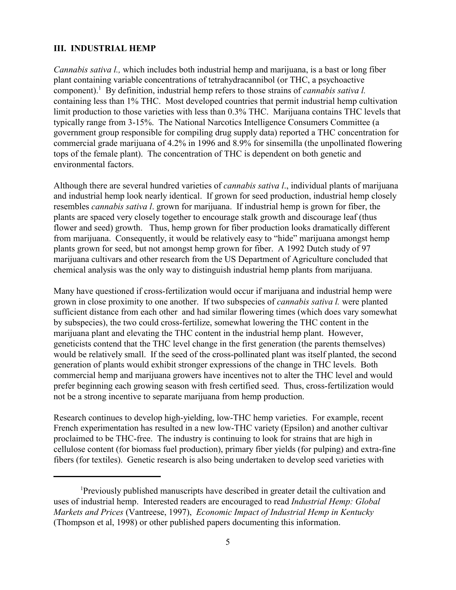#### **III. INDUSTRIAL HEMP**

*Cannabis sativa l.,* which includes both industrial hemp and marijuana, is a bast or long fiber plant containing variable concentrations of tetrahydracannibol (or THC, a psychoactive component).<sup>1</sup> By definition, industrial hemp refers to those strains of *cannabis sativa l.* containing less than 1% THC. Most developed countries that permit industrial hemp cultivation limit production to those varieties with less than 0.3% THC. Marijuana contains THC levels that typically range from 3-15%. The National Narcotics Intelligence Consumers Committee (a government group responsible for compiling drug supply data) reported a THC concentration for commercial grade marijuana of 4.2% in 1996 and 8.9% for sinsemilla (the unpollinated flowering tops of the female plant). The concentration of THC is dependent on both genetic and environmental factors.

Although there are several hundred varieties of *cannabis sativa l*., individual plants of marijuana and industrial hemp look nearly identical. If grown for seed production, industrial hemp closely resembles *cannabis sativa l*. grown for marijuana. If industrial hemp is grown for fiber, the plants are spaced very closely together to encourage stalk growth and discourage leaf (thus flower and seed) growth. Thus, hemp grown for fiber production looks dramatically different from marijuana. Consequently, it would be relatively easy to "hide" marijuana amongst hemp plants grown for seed, but not amongst hemp grown for fiber. A 1992 Dutch study of 97 marijuana cultivars and other research from the US Department of Agriculture concluded that chemical analysis was the only way to distinguish industrial hemp plants from marijuana.

Many have questioned if cross-fertilization would occur if marijuana and industrial hemp were grown in close proximity to one another. If two subspecies of *cannabis sativa l.* were planted sufficient distance from each other and had similar flowering times (which does vary somewhat by subspecies), the two could cross-fertilize, somewhat lowering the THC content in the marijuana plant and elevating the THC content in the industrial hemp plant. However, geneticists contend that the THC level change in the first generation (the parents themselves) would be relatively small. If the seed of the cross-pollinated plant was itself planted, the second generation of plants would exhibit stronger expressions of the change in THC levels. Both commercial hemp and marijuana growers have incentives not to alter the THC level and would prefer beginning each growing season with fresh certified seed. Thus, cross-fertilization would not be a strong incentive to separate marijuana from hemp production.

Research continues to develop high-yielding, low-THC hemp varieties. For example, recent French experimentation has resulted in a new low-THC variety (Epsilon) and another cultivar proclaimed to be THC-free. The industry is continuing to look for strains that are high in cellulose content (for biomass fuel production), primary fiber yields (for pulping) and extra-fine fibers (for textiles). Genetic research is also being undertaken to develop seed varieties with

<sup>1</sup> Previously published manuscripts have described in greater detail the cultivation and uses of industrial hemp. Interested readers are encouraged to read *Industrial Hemp: Global Markets and Prices* (Vantreese, 1997), *Economic Impact of Industrial Hemp in Kentucky* (Thompson et al, 1998) or other published papers documenting this information.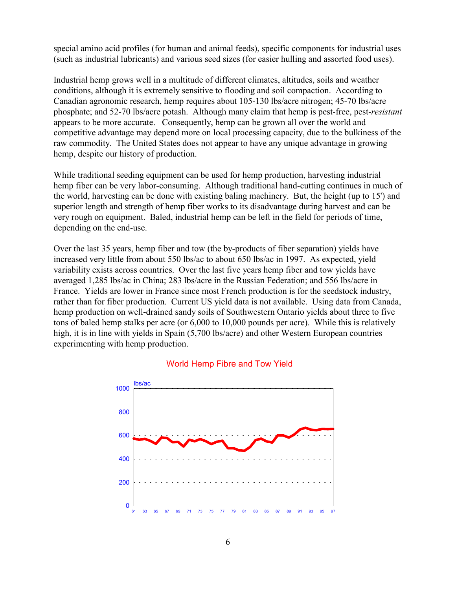special amino acid profiles (for human and animal feeds), specific components for industrial uses (such as industrial lubricants) and various seed sizes (for easier hulling and assorted food uses).

Industrial hemp grows well in a multitude of different climates, altitudes, soils and weather conditions, although it is extremely sensitive to flooding and soil compaction. According to Canadian agronomic research, hemp requires about 105-130 lbs/acre nitrogen; 45-70 lbs/acre phosphate; and 52-70 lbs/acre potash. Although many claim that hemp is pest-free, pest-*resistant* appears to be more accurate. Consequently, hemp can be grown all over the world and competitive advantage may depend more on local processing capacity, due to the bulkiness of the raw commodity. The United States does not appear to have any unique advantage in growing hemp, despite our history of production.

While traditional seeding equipment can be used for hemp production, harvesting industrial hemp fiber can be very labor-consuming. Although traditional hand-cutting continues in much of the world, harvesting can be done with existing baling machinery. But, the height (up to 15') and superior length and strength of hemp fiber works to its disadvantage during harvest and can be very rough on equipment. Baled, industrial hemp can be left in the field for periods of time, depending on the end-use.

Over the last 35 years, hemp fiber and tow (the by-products of fiber separation) yields have increased very little from about 550 lbs/ac to about 650 lbs/ac in 1997. As expected, yield variability exists across countries. Over the last five years hemp fiber and tow yields have averaged 1,285 lbs/ac in China; 283 lbs/acre in the Russian Federation; and 556 lbs/acre in France. Yields are lower in France since most French production is for the seedstock industry, rather than for fiber production. Current US yield data is not available. Using data from Canada, hemp production on well-drained sandy soils of Southwestern Ontario yields about three to five tons of baled hemp stalks per acre (or 6,000 to 10,000 pounds per acre). While this is relatively high, it is in line with yields in Spain (5,700 lbs/acre) and other Western European countries experimenting with hemp production.



#### World Hemp Fibre and Tow Yield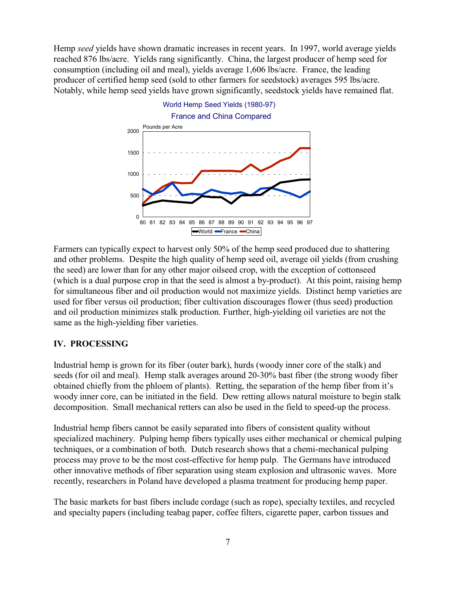Hemp *seed* yields have shown dramatic increases in recent years. In 1997, world average yields reached 876 lbs/acre. Yields rang significantly. China, the largest producer of hemp seed for consumption (including oil and meal), yields average 1,606 lbs/acre. France, the leading producer of certified hemp seed (sold to other farmers for seedstock) averages 595 lbs/acre. Notably, while hemp seed yields have grown significantly, seedstock yields have remained flat.



Farmers can typically expect to harvest only 50% of the hemp seed produced due to shattering and other problems. Despite the high quality of hemp seed oil, average oil yields (from crushing the seed) are lower than for any other major oilseed crop, with the exception of cottonseed (which is a dual purpose crop in that the seed is almost a by-product). At this point, raising hemp for simultaneous fiber and oil production would not maximize yields. Distinct hemp varieties are used for fiber versus oil production; fiber cultivation discourages flower (thus seed) production and oil production minimizes stalk production. Further, high-yielding oil varieties are not the same as the high-yielding fiber varieties.

# **IV. PROCESSING**

Industrial hemp is grown for its fiber (outer bark), hurds (woody inner core of the stalk) and seeds (for oil and meal). Hemp stalk averages around 20-30% bast fiber (the strong woody fiber obtained chiefly from the phloem of plants). Retting, the separation of the hemp fiber from it's woody inner core, can be initiated in the field. Dew retting allows natural moisture to begin stalk decomposition. Small mechanical retters can also be used in the field to speed-up the process.

Industrial hemp fibers cannot be easily separated into fibers of consistent quality without specialized machinery. Pulping hemp fibers typically uses either mechanical or chemical pulping techniques, or a combination of both. Dutch research shows that a chemi-mechanical pulping process may prove to be the most cost-effective for hemp pulp. The Germans have introduced other innovative methods of fiber separation using steam explosion and ultrasonic waves. More recently, researchers in Poland have developed a plasma treatment for producing hemp paper.

The basic markets for bast fibers include cordage (such as rope), specialty textiles, and recycled and specialty papers (including teabag paper, coffee filters, cigarette paper, carbon tissues and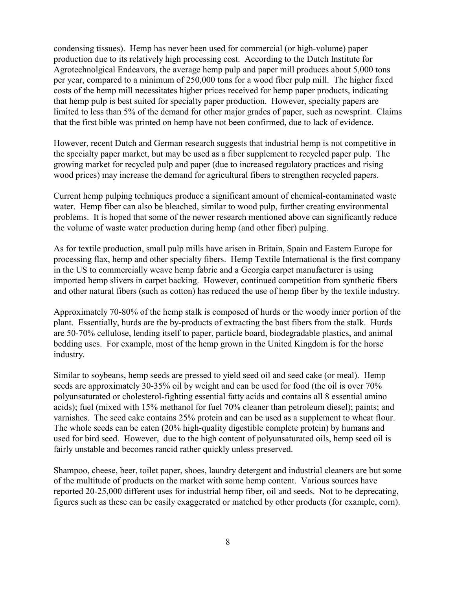condensing tissues). Hemp has never been used for commercial (or high-volume) paper production due to its relatively high processing cost. According to the Dutch Institute for Agrotechnolgical Endeavors, the average hemp pulp and paper mill produces about 5,000 tons per year, compared to a minimum of 250,000 tons for a wood fiber pulp mill. The higher fixed costs of the hemp mill necessitates higher prices received for hemp paper products, indicating that hemp pulp is best suited for specialty paper production. However, specialty papers are limited to less than 5% of the demand for other major grades of paper, such as newsprint. Claims that the first bible was printed on hemp have not been confirmed, due to lack of evidence.

However, recent Dutch and German research suggests that industrial hemp is not competitive in the specialty paper market, but may be used as a fiber supplement to recycled paper pulp. The growing market for recycled pulp and paper (due to increased regulatory practices and rising wood prices) may increase the demand for agricultural fibers to strengthen recycled papers.

Current hemp pulping techniques produce a significant amount of chemical-contaminated waste water. Hemp fiber can also be bleached, similar to wood pulp, further creating environmental problems. It is hoped that some of the newer research mentioned above can significantly reduce the volume of waste water production during hemp (and other fiber) pulping.

As for textile production, small pulp mills have arisen in Britain, Spain and Eastern Europe for processing flax, hemp and other specialty fibers. Hemp Textile International is the first company in the US to commercially weave hemp fabric and a Georgia carpet manufacturer is using imported hemp slivers in carpet backing. However, continued competition from synthetic fibers and other natural fibers (such as cotton) has reduced the use of hemp fiber by the textile industry.

Approximately 70-80% of the hemp stalk is composed of hurds or the woody inner portion of the plant. Essentially, hurds are the by-products of extracting the bast fibers from the stalk. Hurds are 50-70% cellulose, lending itself to paper, particle board, biodegradable plastics, and animal bedding uses. For example, most of the hemp grown in the United Kingdom is for the horse industry.

Similar to soybeans, hemp seeds are pressed to yield seed oil and seed cake (or meal). Hemp seeds are approximately 30-35% oil by weight and can be used for food (the oil is over 70% polyunsaturated or cholesterol-fighting essential fatty acids and contains all 8 essential amino acids); fuel (mixed with 15% methanol for fuel 70% cleaner than petroleum diesel); paints; and varnishes. The seed cake contains 25% protein and can be used as a supplement to wheat flour. The whole seeds can be eaten (20% high-quality digestible complete protein) by humans and used for bird seed. However, due to the high content of polyunsaturated oils, hemp seed oil is fairly unstable and becomes rancid rather quickly unless preserved.

Shampoo, cheese, beer, toilet paper, shoes, laundry detergent and industrial cleaners are but some of the multitude of products on the market with some hemp content. Various sources have reported 20-25,000 different uses for industrial hemp fiber, oil and seeds. Not to be deprecating, figures such as these can be easily exaggerated or matched by other products (for example, corn).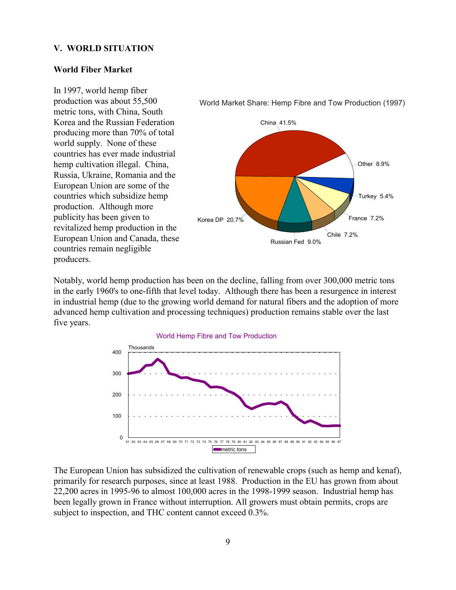#### **V. WORLD SITUATION**

#### **World Fiber Market**

World Market Share: Hemp Fibre and Tow Production (1997) China 41.5% Korea DP 20.7% Russian Fed 9.0% Chile 7.2% France 7.2% Turkey 5.4% Other 8.9% In 1997, world hemp fiber production was about 55,500 metric tons, with China, South Korea and the Russian Federation producing more than 70% of total world supply. None of these countries has ever made industrial hemp cultivation illegal. China, Russia, Ukraine, Romania and the European Union are some of the countries which subsidize hemp production. Although more publicity has been given to revitalized hemp production in the European Union and Canada, these countries remain negligible producers.

Notably, world hemp production has been on the decline, falling from over 300,000 metric tons in the early 1960's to one-fifth that level today. Although there has been a resurgence in interest in industrial hemp (due to the growing world demand for natural fibers and the adoption of more advanced hemp cultivation and processing techniques) production remains stable over the last five years.



The European Union has subsidized the cultivation of renewable crops (such as hemp and kenaf), primarily for research purposes, since at least 1988. Production in the EU has grown from about 22,200 acres in 1995-96 to almost 100,000 acres in the 1998-1999 season. Industrial hemp has been legally grown in France without interruption. All growers must obtain permits, crops are subject to inspection, and THC content cannot exceed 0.3%.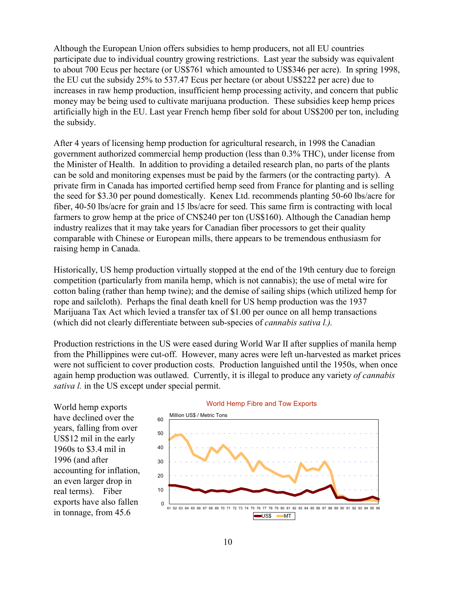Although the European Union offers subsidies to hemp producers, not all EU countries participate due to individual country growing restrictions. Last year the subsidy was equivalent to about 700 Ecus per hectare (or US\$761 which amounted to US\$346 per acre). In spring 1998, the EU cut the subsidy 25% to 537.47 Ecus per hectare (or about US\$222 per acre) due to increases in raw hemp production, insufficient hemp processing activity, and concern that public money may be being used to cultivate marijuana production. These subsidies keep hemp prices artificially high in the EU. Last year French hemp fiber sold for about US\$200 per ton, including the subsidy.

After 4 years of licensing hemp production for agricultural research, in 1998 the Canadian government authorized commercial hemp production (less than 0.3% THC), under license from the Minister of Health. In addition to providing a detailed research plan, no parts of the plants can be sold and monitoring expenses must be paid by the farmers (or the contracting party). A private firm in Canada has imported certified hemp seed from France for planting and is selling the seed for \$3.30 per pound domestically. Kenex Ltd. recommends planting 50-60 lbs/acre for fiber, 40-50 lbs/acre for grain and 15 lbs/acre for seed. This same firm is contracting with local farmers to grow hemp at the price of CN\$240 per ton (US\$160). Although the Canadian hemp industry realizes that it may take years for Canadian fiber processors to get their quality comparable with Chinese or European mills, there appears to be tremendous enthusiasm for raising hemp in Canada.

Historically, US hemp production virtually stopped at the end of the 19th century due to foreign competition (particularly from manila hemp, which is not cannabis); the use of metal wire for cotton baling (rather than hemp twine); and the demise of sailing ships (which utilized hemp for rope and sailcloth). Perhaps the final death knell for US hemp production was the 1937 Marijuana Tax Act which levied a transfer tax of \$1.00 per ounce on all hemp transactions (which did not clearly differentiate between sub-species of *cannabis sativa l.).*

Production restrictions in the US were eased during World War II after supplies of manila hemp from the Phillippines were cut-off. However, many acres were left un-harvested as market prices were not sufficient to cover production costs. Production languished until the 1950s, when once again hemp production was outlawed. Currently, it is illegal to produce any variety *of cannabis sativa l.* in the US except under special permit.

World hemp exports have declined over the years, falling from over US\$12 mil in the early 1960s to \$3.4 mil in 1996 (and after accounting for inflation, an even larger drop in real terms). Fiber exports have also fallen in tonnage, from 45.6



# World Hemp Fibre and Tow Exports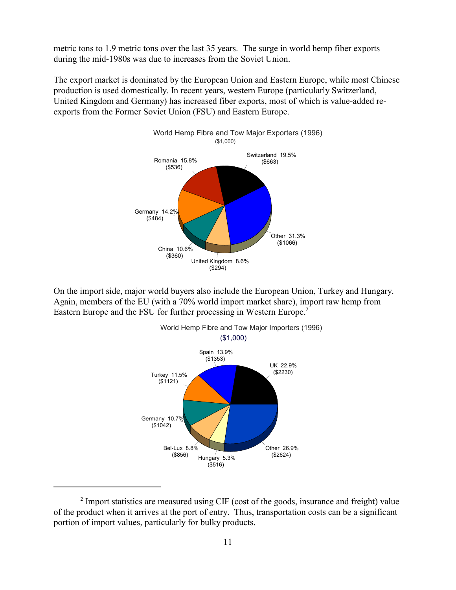metric tons to 1.9 metric tons over the last 35 years. The surge in world hemp fiber exports during the mid-1980s was due to increases from the Soviet Union.

The export market is dominated by the European Union and Eastern Europe, while most Chinese production is used domestically. In recent years, western Europe (particularly Switzerland, United Kingdom and Germany) has increased fiber exports, most of which is value-added reexports from the Former Soviet Union (FSU) and Eastern Europe.



On the import side, major world buyers also include the European Union, Turkey and Hungary. Again, members of the EU (with a 70% world import market share), import raw hemp from Eastern Europe and the FSU for further processing in Western Europe.<sup>2</sup>



<sup>&</sup>lt;sup>2</sup> Import statistics are measured using CIF (cost of the goods, insurance and freight) value of the product when it arrives at the port of entry. Thus, transportation costs can be a significant portion of import values, particularly for bulky products.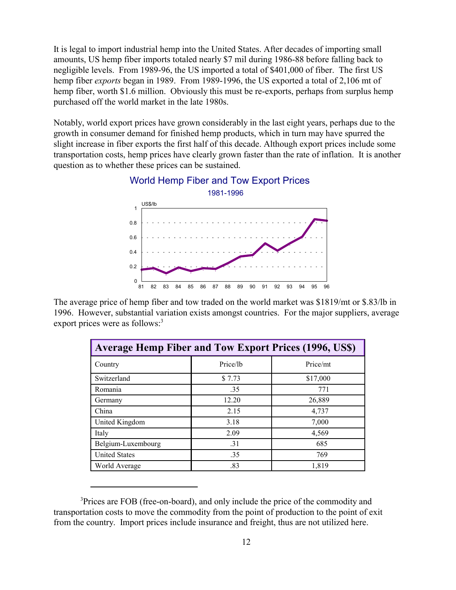It is legal to import industrial hemp into the United States. After decades of importing small amounts, US hemp fiber imports totaled nearly \$7 mil during 1986-88 before falling back to negligible levels. From 1989-96, the US imported a total of \$401,000 of fiber. The first US hemp fiber *exports* began in 1989. From 1989-1996, the US exported a total of 2,106 mt of hemp fiber, worth \$1.6 million. Obviously this must be re-exports, perhaps from surplus hemp purchased off the world market in the late 1980s.

Notably, world export prices have grown considerably in the last eight years, perhaps due to the growth in consumer demand for finished hemp products, which in turn may have spurred the slight increase in fiber exports the first half of this decade. Although export prices include some transportation costs, hemp prices have clearly grown faster than the rate of inflation. It is another question as to whether these prices can be sustained.





The average price of hemp fiber and tow traded on the world market was \$1819/mt or \$.83/lb in 1996. However, substantial variation exists amongst countries. For the major suppliers, average export prices were as follows:<sup>3</sup>

| <b>Average Hemp Fiber and Tow Export Prices (1996, US\$)</b> |          |          |  |  |
|--------------------------------------------------------------|----------|----------|--|--|
| Country                                                      | Price/lb | Price/mt |  |  |
| Switzerland                                                  | \$7.73   | \$17,000 |  |  |
| Romania                                                      | .35      | 771      |  |  |
| Germany                                                      | 12.20    | 26,889   |  |  |
| China                                                        | 2.15     | 4,737    |  |  |
| United Kingdom                                               | 3.18     | 7,000    |  |  |
| Italy                                                        | 2.09     | 4,569    |  |  |
| Belgium-Luxembourg                                           | .31      | 685      |  |  |
| <b>United States</b>                                         | .35      | 769      |  |  |
| World Average                                                | .83      | 1,819    |  |  |

<sup>&</sup>lt;sup>3</sup>Prices are FOB (free-on-board), and only include the price of the commodity and transportation costs to move the commodity from the point of production to the point of exit from the country. Import prices include insurance and freight, thus are not utilized here.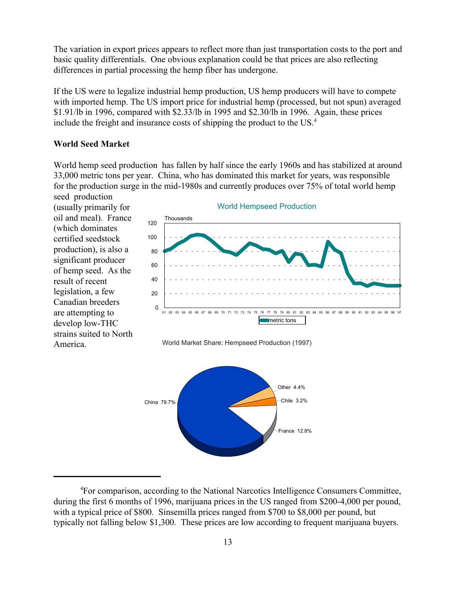The variation in export prices appears to reflect more than just transportation costs to the port and basic quality differentials. One obvious explanation could be that prices are also reflecting differences in partial processing the hemp fiber has undergone.

If the US were to legalize industrial hemp production, US hemp producers will have to compete with imported hemp. The US import price for industrial hemp (processed, but not spun) averaged \$1.91/lb in 1996, compared with \$2.33/lb in 1995 and \$2.30/lb in 1996. Again, these prices include the freight and insurance costs of shipping the product to the US.<sup>4</sup>

#### **World Seed Market**

World hemp seed production has fallen by half since the early 1960s and has stabilized at around 33,000 metric tons per year. China, who has dominated this market for years, was responsible for the production surge in the mid-1980s and currently produces over 75% of total world hemp

seed production (usually primarily for oil and meal). France (which dominates certified seedstock production), is also a significant producer of hemp seed. As the result of recent legislation, a few Canadian breeders are attempting to develop low-THC strains suited to North America.



World Market Share: Hempseed Production (1997)



<sup>&</sup>lt;sup>4</sup>For comparison, according to the National Narcotics Intelligence Consumers Committee, during the first 6 months of 1996, marijuana prices in the US ranged from \$200-4,000 per pound, with a typical price of \$800. Sinsemilla prices ranged from \$700 to \$8,000 per pound, but typically not falling below \$1,300. These prices are low according to frequent marijuana buyers.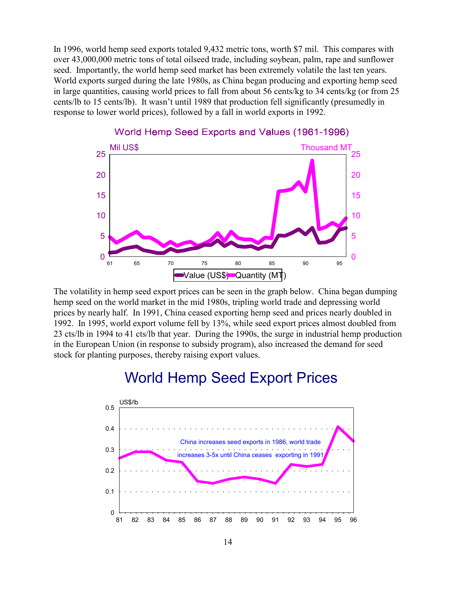In 1996, world hemp seed exports totaled 9,432 metric tons, worth \$7 mil. This compares with over 43,000,000 metric tons of total oilseed trade, including soybean, palm, rape and sunflower seed. Importantly, the world hemp seed market has been extremely volatile the last ten years. World exports surged during the late 1980s, as China began producing and exporting hemp seed in large quantities, causing world prices to fall from about 56 cents/kg to 34 cents/kg (or from 25 cents/lb to 15 cents/lb). It wasnít until 1989 that production fell significantly (presumedly in response to lower world prices), followed by a fall in world exports in 1992.



## World Hemp Seed Exports and Values (1961-1996)

The volatility in hemp seed export prices can be seen in the graph below. China began dumping hemp seed on the world market in the mid 1980s, tripling world trade and depressing world prices by nearly half. In 1991, China ceased exporting hemp seed and prices nearly doubled in 1992. In 1995, world export volume fell by 13%, while seed export prices almost doubled from 23 cts/lb in 1994 to 41 cts/lb that year. During the 1990s, the surge in industrial hemp production in the European Union (in response to subsidy program), also increased the demand for seed stock for planting purposes, thereby raising export values.

# World Hemp Seed Export Prices

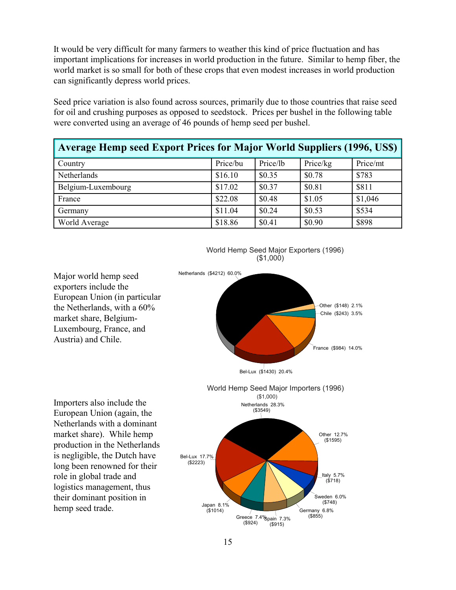It would be very difficult for many farmers to weather this kind of price fluctuation and has important implications for increases in world production in the future. Similar to hemp fiber, the world market is so small for both of these crops that even modest increases in world production can significantly depress world prices.

Seed price variation is also found across sources, primarily due to those countries that raise seed for oil and crushing purposes as opposed to seedstock. Prices per bushel in the following table were converted using an average of 46 pounds of hemp seed per bushel.

| Average Hemp seed Export Prices for Major World Suppliers (1996, US\$) |          |          |          |          |
|------------------------------------------------------------------------|----------|----------|----------|----------|
| Country                                                                | Price/bu | Price/lb | Price/kg | Price/mt |
| Netherlands                                                            | \$16.10  | \$0.35   | \$0.78   | \$783    |
| Belgium-Luxembourg                                                     | \$17.02  | \$0.37   | \$0.81   | \$811    |
| France                                                                 | \$22.08  | \$0.48   | \$1.05   | \$1,046  |
| Germany                                                                | \$11.04  | \$0.24   | \$0.53   | \$534    |
| World Average                                                          | \$18.86  | \$0.41   | \$0.90   | \$898    |



World Hemp Seed Major Exporters (1996) (\$1,000)

Major world hemp seed exporters include the European Union (in particular the Netherlands, with a 60% market share, Belgium-Luxembourg, France, and Austria) and Chile.

Importers also include the European Union (again, the Netherlands with a dominant market share). While hemp production in the Netherlands is negligible, the Dutch have long been renowned for their role in global trade and logistics management, thus their dominant position in hemp seed trade.

Greece 7.4% pain 7.3%<br>(\$924) (\$915) (\$915)

 $(8855)$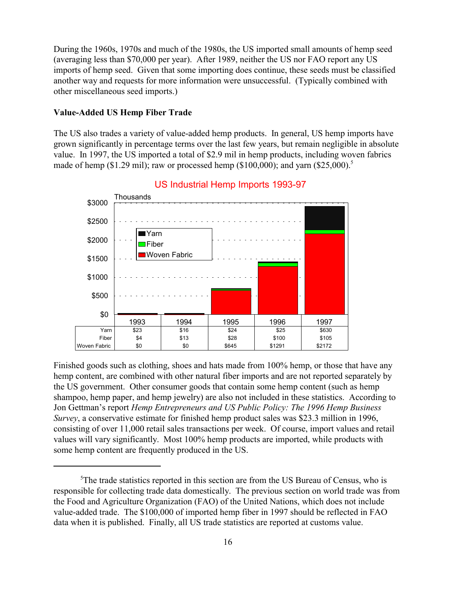During the 1960s, 1970s and much of the 1980s, the US imported small amounts of hemp seed (averaging less than \$70,000 per year). After 1989, neither the US nor FAO report any US imports of hemp seed. Given that some importing does continue, these seeds must be classified another way and requests for more information were unsuccessful. (Typically combined with other miscellaneous seed imports.)

#### **Value-Added US Hemp Fiber Trade**

The US also trades a variety of value-added hemp products. In general, US hemp imports have grown significantly in percentage terms over the last few years, but remain negligible in absolute value. In 1997, the US imported a total of \$2.9 mil in hemp products, including woven fabrics made of hemp (\$1.29 mil); raw or processed hemp (\$100,000); and yarn (\$25,000).<sup>5</sup>



#### US Industrial Hemp Imports 1993-97

Finished goods such as clothing, shoes and hats made from 100% hemp, or those that have any hemp content, are combined with other natural fiber imports and are not reported separately by the US government. Other consumer goods that contain some hemp content (such as hemp shampoo, hemp paper, and hemp jewelry) are also not included in these statistics. According to Jon Gettman's report *Hemp Entrepreneurs and US Public Policy: The 1996 Hemp Business Survey*, a conservative estimate for finished hemp product sales was \$23.3 million in 1996, consisting of over 11,000 retail sales transactions per week. Of course, import values and retail values will vary significantly. Most 100% hemp products are imported, while products with some hemp content are frequently produced in the US.

<sup>&</sup>lt;sup>5</sup>The trade statistics reported in this section are from the US Bureau of Census, who is responsible for collecting trade data domestically. The previous section on world trade was from the Food and Agriculture Organization (FAO) of the United Nations, which does not include value-added trade. The \$100,000 of imported hemp fiber in 1997 should be reflected in FAO data when it is published. Finally, all US trade statistics are reported at customs value.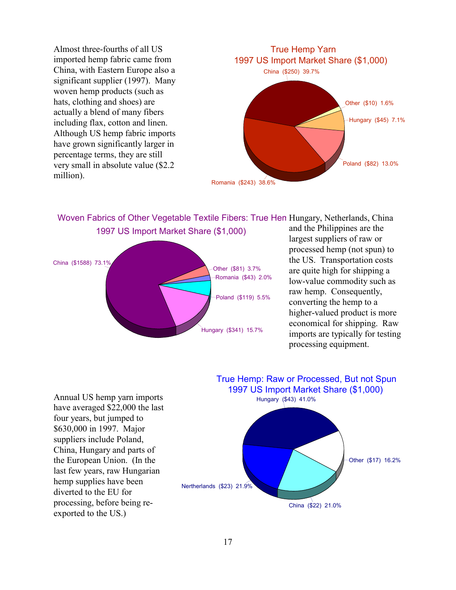Almost three-fourths of all US imported hemp fabric came from China, with Eastern Europe also a significant supplier (1997). Many woven hemp products (such as hats, clothing and shoes) are actually a blend of many fibers including flax, cotton and linen. Although US hemp fabric imports have grown significantly larger in percentage terms, they are still very small in absolute value (\$2.2 million).



Woven Fabrics of Other Vegetable Textile Fibers: True Hem Hungary, Netherlands, China 1997 US Import Market Share (\$1,000)



and the Philippines are the largest suppliers of raw or processed hemp (not spun) to the US. Transportation costs are quite high for shipping a low-value commodity such as raw hemp. Consequently, converting the hemp to a higher-valued product is more economical for shipping. Raw imports are typically for testing processing equipment.

Annual US hemp yarn imports have averaged \$22,000 the last four years, but jumped to \$630,000 in 1997. Major suppliers include Poland, China, Hungary and parts of the European Union. (In the last few years, raw Hungarian hemp supplies have been diverted to the EU for processing, before being reexported to the US.)

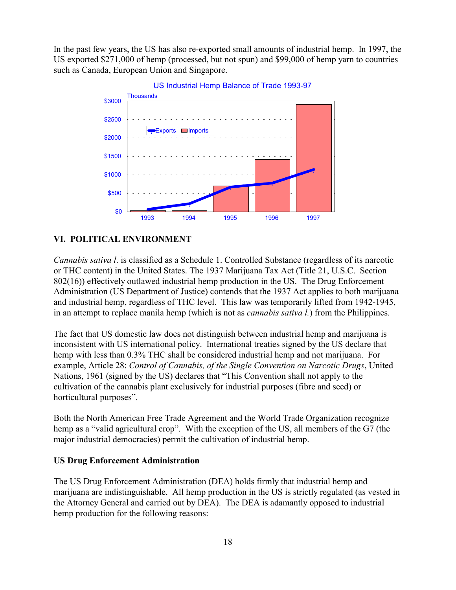In the past few years, the US has also re-exported small amounts of industrial hemp. In 1997, the US exported \$271,000 of hemp (processed, but not spun) and \$99,000 of hemp yarn to countries such as Canada, European Union and Singapore.



US Industrial Hemp Balance of Trade 1993-97

#### **VI. POLITICAL ENVIRONMENT**

*Cannabis sativa l*. is classified as a Schedule 1. Controlled Substance (regardless of its narcotic or THC content) in the United States. The 1937 Marijuana Tax Act (Title 21, U.S.C. Section 802(16)) effectively outlawed industrial hemp production in the US. The Drug Enforcement Administration (US Department of Justice) contends that the 1937 Act applies to both marijuana and industrial hemp, regardless of THC level. This law was temporarily lifted from 1942-1945, in an attempt to replace manila hemp (which is not as *cannabis sativa l.*) from the Philippines.

The fact that US domestic law does not distinguish between industrial hemp and marijuana is inconsistent with US international policy. International treaties signed by the US declare that hemp with less than 0.3% THC shall be considered industrial hemp and not marijuana. For example, Article 28: *Control of Cannabis, of the Single Convention on Narcotic Drugs*, United Nations, 1961 (signed by the US) declares that "This Convention shall not apply to the cultivation of the cannabis plant exclusively for industrial purposes (fibre and seed) or horticultural purposes".

Both the North American Free Trade Agreement and the World Trade Organization recognize hemp as a "valid agricultural crop". With the exception of the US, all members of the G7 (the major industrial democracies) permit the cultivation of industrial hemp.

#### **US Drug Enforcement Administration**

The US Drug Enforcement Administration (DEA) holds firmly that industrial hemp and marijuana are indistinguishable. All hemp production in the US is strictly regulated (as vested in the Attorney General and carried out by DEA). The DEA is adamantly opposed to industrial hemp production for the following reasons: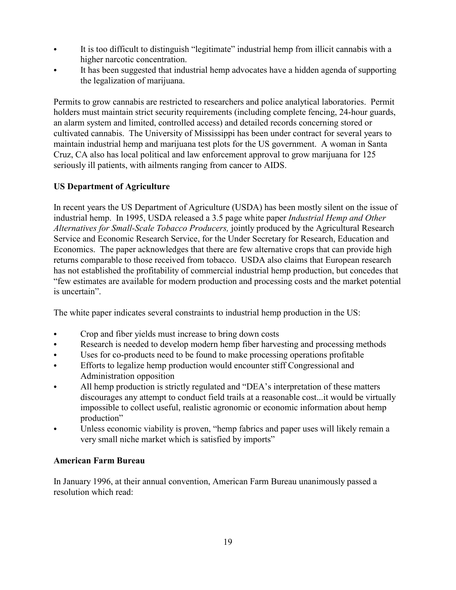- It is too difficult to distinguish "legitimate" industrial hemp from illicit cannabis with a higher narcotic concentration.
- It has been suggested that industrial hemp advocates have a hidden agenda of supporting the legalization of marijuana.

Permits to grow cannabis are restricted to researchers and police analytical laboratories. Permit holders must maintain strict security requirements (including complete fencing, 24-hour guards, an alarm system and limited, controlled access) and detailed records concerning stored or cultivated cannabis. The University of Mississippi has been under contract for several years to maintain industrial hemp and marijuana test plots for the US government. A woman in Santa Cruz, CA also has local political and law enforcement approval to grow marijuana for 125 seriously ill patients, with ailments ranging from cancer to AIDS.

# **US Department of Agriculture**

In recent years the US Department of Agriculture (USDA) has been mostly silent on the issue of industrial hemp. In 1995, USDA released a 3.5 page white paper *Industrial Hemp and Other Alternatives for Small-Scale Tobacco Producers,* jointly produced by the Agricultural Research Service and Economic Research Service, for the Under Secretary for Research, Education and Economics. The paper acknowledges that there are few alternative crops that can provide high returns comparable to those received from tobacco. USDA also claims that European research has not established the profitability of commercial industrial hemp production, but concedes that ìfew estimates are available for modern production and processing costs and the market potential is uncertain"

The white paper indicates several constraints to industrial hemp production in the US:

- Crop and fiber yields must increase to bring down costs
- Research is needed to develop modern hemp fiber harvesting and processing methods
- Uses for co-products need to be found to make processing operations profitable
- Efforts to legalize hemp production would encounter stiff Congressional and Administration opposition
- All hemp production is strictly regulated and "DEA's interpretation of these matters discourages any attempt to conduct field trails at a reasonable cost...it would be virtually impossible to collect useful, realistic agronomic or economic information about hemp production"
- Unless economic viability is proven, "hemp fabrics and paper uses will likely remain a very small niche market which is satisfied by imports"

#### **American Farm Bureau**

In January 1996, at their annual convention, American Farm Bureau unanimously passed a resolution which read: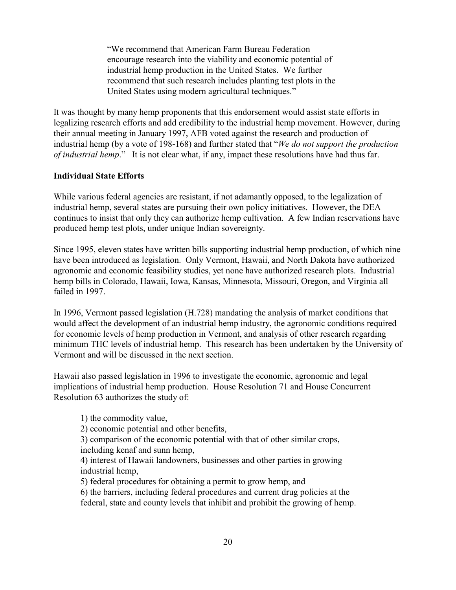ìWe recommend that American Farm Bureau Federation encourage research into the viability and economic potential of industrial hemp production in the United States. We further recommend that such research includes planting test plots in the United States using modern agricultural techniques."

It was thought by many hemp proponents that this endorsement would assist state efforts in legalizing research efforts and add credibility to the industrial hemp movement. However, during their annual meeting in January 1997, AFB voted against the research and production of industrial hemp (by a vote of 198-168) and further stated that *<i><sup>'</sup>We do not support the production of industrial hemp.*" It is not clear what, if any, impact these resolutions have had thus far.

#### **Individual State Efforts**

While various federal agencies are resistant, if not adamantly opposed, to the legalization of industrial hemp, several states are pursuing their own policy initiatives. However, the DEA continues to insist that only they can authorize hemp cultivation. A few Indian reservations have produced hemp test plots, under unique Indian sovereignty.

Since 1995, eleven states have written bills supporting industrial hemp production, of which nine have been introduced as legislation. Only Vermont, Hawaii, and North Dakota have authorized agronomic and economic feasibility studies, yet none have authorized research plots. Industrial hemp bills in Colorado, Hawaii, Iowa, Kansas, Minnesota, Missouri, Oregon, and Virginia all failed in 1997.

In 1996, Vermont passed legislation (H.728) mandating the analysis of market conditions that would affect the development of an industrial hemp industry, the agronomic conditions required for economic levels of hemp production in Vermont, and analysis of other research regarding minimum THC levels of industrial hemp. This research has been undertaken by the University of Vermont and will be discussed in the next section.

Hawaii also passed legislation in 1996 to investigate the economic, agronomic and legal implications of industrial hemp production. House Resolution 71 and House Concurrent Resolution 63 authorizes the study of:

1) the commodity value,

2) economic potential and other benefits,

3) comparison of the economic potential with that of other similar crops, including kenaf and sunn hemp,

4) interest of Hawaii landowners, businesses and other parties in growing industrial hemp,

5) federal procedures for obtaining a permit to grow hemp, and

6) the barriers, including federal procedures and current drug policies at the federal, state and county levels that inhibit and prohibit the growing of hemp.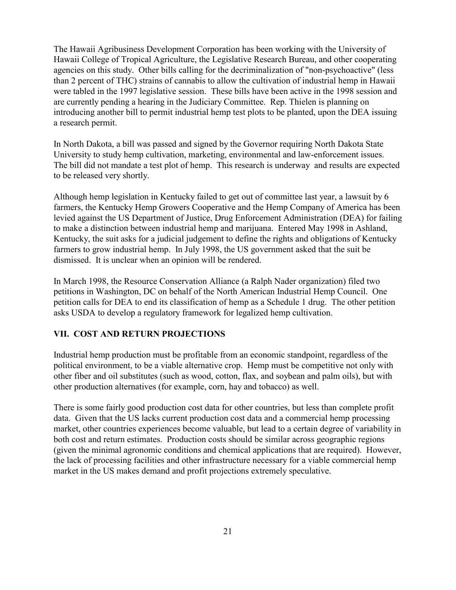The Hawaii Agribusiness Development Corporation has been working with the University of Hawaii College of Tropical Agriculture, the Legislative Research Bureau, and other cooperating agencies on this study. Other bills calling for the decriminalization of "non-psychoactive" (less than 2 percent of THC) strains of cannabis to allow the cultivation of industrial hemp in Hawaii were tabled in the 1997 legislative session. These bills have been active in the 1998 session and are currently pending a hearing in the Judiciary Committee. Rep. Thielen is planning on introducing another bill to permit industrial hemp test plots to be planted, upon the DEA issuing a research permit.

In North Dakota, a bill was passed and signed by the Governor requiring North Dakota State University to study hemp cultivation, marketing, environmental and law-enforcement issues. The bill did not mandate a test plot of hemp. This research is underway and results are expected to be released very shortly.

Although hemp legislation in Kentucky failed to get out of committee last year, a lawsuit by 6 farmers, the Kentucky Hemp Growers Cooperative and the Hemp Company of America has been levied against the US Department of Justice, Drug Enforcement Administration (DEA) for failing to make a distinction between industrial hemp and marijuana. Entered May 1998 in Ashland, Kentucky, the suit asks for a judicial judgement to define the rights and obligations of Kentucky farmers to grow industrial hemp. In July 1998, the US government asked that the suit be dismissed. It is unclear when an opinion will be rendered.

In March 1998, the Resource Conservation Alliance (a Ralph Nader organization) filed two petitions in Washington, DC on behalf of the North American Industrial Hemp Council. One petition calls for DEA to end its classification of hemp as a Schedule 1 drug. The other petition asks USDA to develop a regulatory framework for legalized hemp cultivation.

#### **VII. COST AND RETURN PROJECTIONS**

Industrial hemp production must be profitable from an economic standpoint, regardless of the political environment, to be a viable alternative crop. Hemp must be competitive not only with other fiber and oil substitutes (such as wood, cotton, flax, and soybean and palm oils), but with other production alternatives (for example, corn, hay and tobacco) as well.

There is some fairly good production cost data for other countries, but less than complete profit data. Given that the US lacks current production cost data and a commercial hemp processing market, other countries experiences become valuable, but lead to a certain degree of variability in both cost and return estimates. Production costs should be similar across geographic regions (given the minimal agronomic conditions and chemical applications that are required). However, the lack of processing facilities and other infrastructure necessary for a viable commercial hemp market in the US makes demand and profit projections extremely speculative.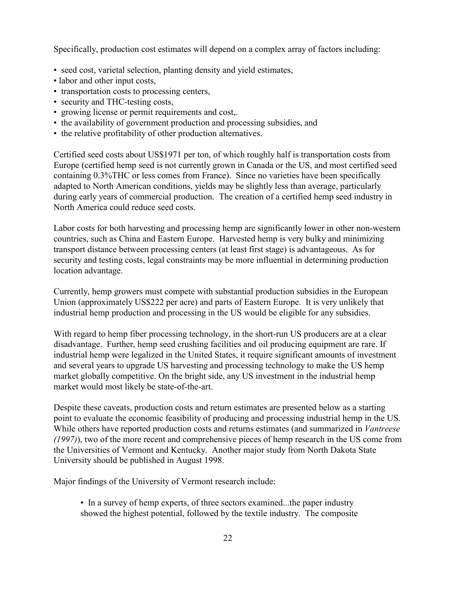Specifically, production cost estimates will depend on a complex array of factors including:

- seed cost, varietal selection, planting density and yield estimates,
- labor and other input costs,
- transportation costs to processing centers,
- security and THC-testing costs,
- growing license or permit requirements and cost,.
- the availability of government production and processing subsidies, and
- the relative profitability of other production alternatives.

Certified seed costs about US\$1971 per ton, of which roughly half is transportation costs from Europe (certified hemp seed is not currently grown in Canada or the US, and most certified seed containing 0.3%THC or less comes from France). Since no varieties have been specifically adapted to North American conditions, yields may be slightly less than average, particularly during early years of commercial production. The creation of a certified hemp seed industry in North America could reduce seed costs.

Labor costs for both harvesting and processing hemp are significantly lower in other non-western countries, such as China and Eastern Europe. Harvested hemp is very bulky and minimizing transport distance between processing centers (at least first stage) is advantageous. As for security and testing costs, legal constraints may be more influential in determining production location advantage.

Currently, hemp growers must compete with substantial production subsidies in the European Union (approximately US\$222 per acre) and parts of Eastern Europe. It is very unlikely that industrial hemp production and processing in the US would be eligible for any subsidies.

With regard to hemp fiber processing technology, in the short-run US producers are at a clear disadvantage. Further, hemp seed crushing facilities and oil producing equipment are rare. If industrial hemp were legalized in the United States, it require significant amounts of investment and several years to upgrade US harvesting and processing technology to make the US hemp market globally competitive. On the bright side, any US investment in the industrial hemp market would most likely be state-of-the-art.

Despite these caveats, production costs and return estimates are presented below as a starting point to evaluate the economic feasibility of producing and processing industrial hemp in the US. While others have reported production costs and returns estimates (and summarized in *Vantreese (1997)*), two of the more recent and comprehensive pieces of hemp research in the US come from the Universities of Vermont and Kentucky. Another major study from North Dakota State University should be published in August 1998.

Major findings of the University of Vermont research include:

• In a survey of hemp experts, of three sectors examined...the paper industry showed the highest potential, followed by the textile industry. The composite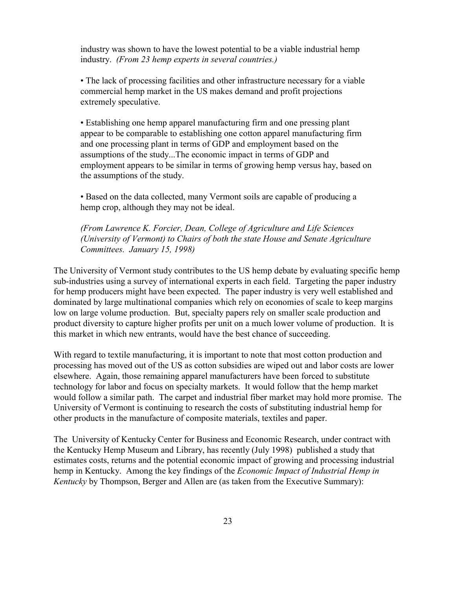industry was shown to have the lowest potential to be a viable industrial hemp industry. *(From 23 hemp experts in several countries.)*

• The lack of processing facilities and other infrastructure necessary for a viable commercial hemp market in the US makes demand and profit projections extremely speculative.

ï Establishing one hemp apparel manufacturing firm and one pressing plant appear to be comparable to establishing one cotton apparel manufacturing firm and one processing plant in terms of GDP and employment based on the assumptions of the study...The economic impact in terms of GDP and employment appears to be similar in terms of growing hemp versus hay, based on the assumptions of the study.

ï Based on the data collected, many Vermont soils are capable of producing a hemp crop, although they may not be ideal.

*(From Lawrence K. Forcier, Dean, College of Agriculture and Life Sciences (University of Vermont) to Chairs of both the state House and Senate Agriculture Committees. January 15, 1998)*

The University of Vermont study contributes to the US hemp debate by evaluating specific hemp sub-industries using a survey of international experts in each field. Targeting the paper industry for hemp producers might have been expected. The paper industry is very well established and dominated by large multinational companies which rely on economies of scale to keep margins low on large volume production. But, specialty papers rely on smaller scale production and product diversity to capture higher profits per unit on a much lower volume of production. It is this market in which new entrants, would have the best chance of succeeding.

With regard to textile manufacturing, it is important to note that most cotton production and processing has moved out of the US as cotton subsidies are wiped out and labor costs are lower elsewhere. Again, those remaining apparel manufacturers have been forced to substitute technology for labor and focus on specialty markets. It would follow that the hemp market would follow a similar path. The carpet and industrial fiber market may hold more promise. The University of Vermont is continuing to research the costs of substituting industrial hemp for other products in the manufacture of composite materials, textiles and paper.

The University of Kentucky Center for Business and Economic Research, under contract with the Kentucky Hemp Museum and Library, has recently (July 1998) published a study that estimates costs, returns and the potential economic impact of growing and processing industrial hemp in Kentucky. Among the key findings of the *Economic Impact of Industrial Hemp in Kentucky* by Thompson, Berger and Allen are (as taken from the Executive Summary):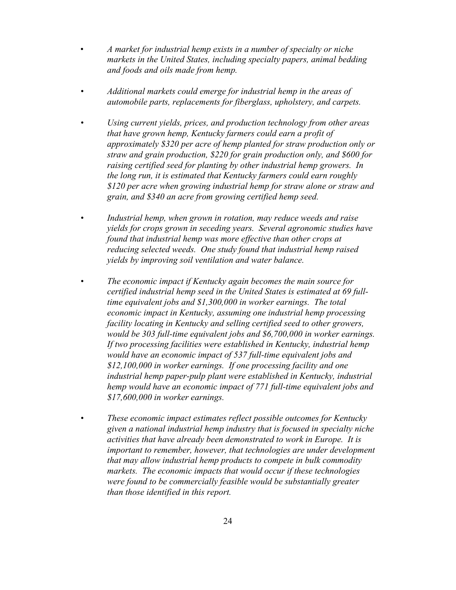- ï *A market for industrial hemp exists in a number of specialty or niche markets in the United States, including specialty papers, animal bedding and foods and oils made from hemp.*
- *ï Additional markets could emerge for industrial hemp in the areas of automobile parts, replacements for fiberglass, upholstery, and carpets.*
- *ï Using current yields, prices, and production technology from other areas that have grown hemp, Kentucky farmers could earn a profit of approximately \$320 per acre of hemp planted for straw production only or straw and grain production, \$220 for grain production only, and \$600 for raising certified seed for planting by other industrial hemp growers. In the long run, it is estimated that Kentucky farmers could earn roughly \$120 per acre when growing industrial hemp for straw alone or straw and grain, and \$340 an acre from growing certified hemp seed.*
- *ï Industrial hemp, when grown in rotation, may reduce weeds and raise yields for crops grown in seceding years. Several agronomic studies have found that industrial hemp was more effective than other crops at reducing selected weeds. One study found that industrial hemp raised yields by improving soil ventilation and water balance.*
- *ï The economic impact if Kentucky again becomes the main source for certified industrial hemp seed in the United States is estimated at 69 fulltime equivalent jobs and \$1,300,000 in worker earnings. The total economic impact in Kentucky, assuming one industrial hemp processing facility locating in Kentucky and selling certified seed to other growers, would be 303 full-time equivalent jobs and \$6,700,000 in worker earnings. If two processing facilities were established in Kentucky, industrial hemp would have an economic impact of 537 full-time equivalent jobs and \$12,100,000 in worker earnings. If one processing facility and one industrial hemp paper-pulp plant were established in Kentucky, industrial hemp would have an economic impact of 771 full-time equivalent jobs and \$17,600,000 in worker earnings.*
- *ï These economic impact estimates reflect possible outcomes for Kentucky given a national industrial hemp industry that is focused in specialty niche activities that have already been demonstrated to work in Europe. It is important to remember, however, that technologies are under development that may allow industrial hemp products to compete in bulk commodity markets. The economic impacts that would occur if these technologies were found to be commercially feasible would be substantially greater than those identified in this report.*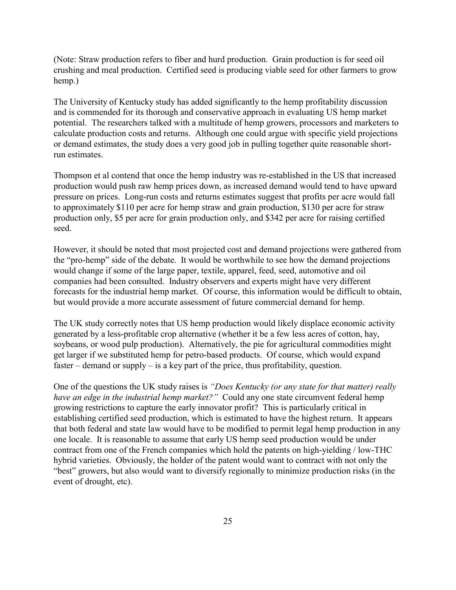(Note: Straw production refers to fiber and hurd production. Grain production is for seed oil crushing and meal production. Certified seed is producing viable seed for other farmers to grow hemp.)

The University of Kentucky study has added significantly to the hemp profitability discussion and is commended for its thorough and conservative approach in evaluating US hemp market potential. The researchers talked with a multitude of hemp growers, processors and marketers to calculate production costs and returns. Although one could argue with specific yield projections or demand estimates, the study does a very good job in pulling together quite reasonable shortrun estimates.

Thompson et al contend that once the hemp industry was re-established in the US that increased production would push raw hemp prices down, as increased demand would tend to have upward pressure on prices. Long-run costs and returns estimates suggest that profits per acre would fall to approximately \$110 per acre for hemp straw and grain production, \$130 per acre for straw production only, \$5 per acre for grain production only, and \$342 per acre for raising certified seed.

However, it should be noted that most projected cost and demand projections were gathered from the "pro-hemp" side of the debate. It would be worthwhile to see how the demand projections would change if some of the large paper, textile, apparel, feed, seed, automotive and oil companies had been consulted. Industry observers and experts might have very different forecasts for the industrial hemp market. Of course, this information would be difficult to obtain, but would provide a more accurate assessment of future commercial demand for hemp.

The UK study correctly notes that US hemp production would likely displace economic activity generated by a less-profitable crop alternative (whether it be a few less acres of cotton, hay, soybeans, or wood pulp production). Alternatively, the pie for agricultural commodities might get larger if we substituted hemp for petro-based products. Of course, which would expand faster  $\alpha$  demand or supply  $\alpha$  is a key part of the price, thus profitability, question.

One of the questions the UK study raises is *"Does Kentucky (or any state for that matter) really have an edge in the industrial hemp market?*" Could any one state circumvent federal hemp growing restrictions to capture the early innovator profit? This is particularly critical in establishing certified seed production, which is estimated to have the highest return. It appears that both federal and state law would have to be modified to permit legal hemp production in any one locale. It is reasonable to assume that early US hemp seed production would be under contract from one of the French companies which hold the patents on high-yielding / low-THC hybrid varieties. Obviously, the holder of the patent would want to contract with not only the "best" growers, but also would want to diversify regionally to minimize production risks (in the event of drought, etc).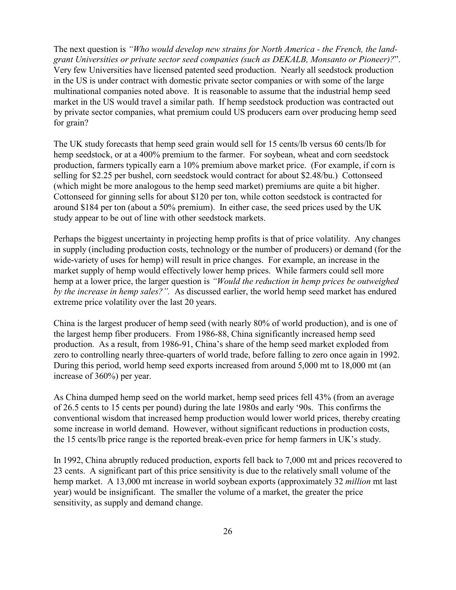The next question is *"Who would develop new strains for North America - the French, the landgrant Universities or private sector seed companies (such as DEKALB, Monsanto or Pioneer)?*î. Very few Universities have licensed patented seed production. Nearly all seedstock production in the US is under contract with domestic private sector companies or with some of the large multinational companies noted above. It is reasonable to assume that the industrial hemp seed market in the US would travel a similar path. If hemp seedstock production was contracted out by private sector companies, what premium could US producers earn over producing hemp seed for grain?

The UK study forecasts that hemp seed grain would sell for 15 cents/lb versus 60 cents/lb for hemp seedstock, or at a 400% premium to the farmer. For soybean, wheat and corn seedstock production, farmers typically earn a 10% premium above market price. (For example, if corn is selling for \$2.25 per bushel, corn seedstock would contract for about \$2.48/bu.) Cottonseed (which might be more analogous to the hemp seed market) premiums are quite a bit higher. Cottonseed for ginning sells for about \$120 per ton, while cotton seedstock is contracted for around \$184 per ton (about a 50% premium). In either case, the seed prices used by the UK study appear to be out of line with other seedstock markets.

Perhaps the biggest uncertainty in projecting hemp profits is that of price volatility. Any changes in supply (including production costs, technology or the number of producers) or demand (for the wide-variety of uses for hemp) will result in price changes. For example, an increase in the market supply of hemp would effectively lower hemp prices. While farmers could sell more hemp at a lower price, the larger question is *"Would the reduction in hemp prices be outweighed by the increase in hemp sales?*". As discussed earlier, the world hemp seed market has endured extreme price volatility over the last 20 years.

China is the largest producer of hemp seed (with nearly 80% of world production), and is one of the largest hemp fiber producers. From 1986-88, China significantly increased hemp seed production. As a result, from 1986-91, China's share of the hemp seed market exploded from zero to controlling nearly three-quarters of world trade, before falling to zero once again in 1992. During this period, world hemp seed exports increased from around 5,000 mt to 18,000 mt (an increase of 360%) per year.

As China dumped hemp seed on the world market, hemp seed prices fell 43% (from an average of 26.5 cents to 15 cents per pound) during the late 1980s and early ë90s. This confirms the conventional wisdom that increased hemp production would lower world prices, thereby creating some increase in world demand. However, without significant reductions in production costs, the 15 cents/lb price range is the reported break-even price for hemp farmers in UK's study.

In 1992, China abruptly reduced production, exports fell back to 7,000 mt and prices recovered to 23 cents. A significant part of this price sensitivity is due to the relatively small volume of the hemp market. A 13,000 mt increase in world soybean exports (approximately 32 *million* mt last year) would be insignificant. The smaller the volume of a market, the greater the price sensitivity, as supply and demand change.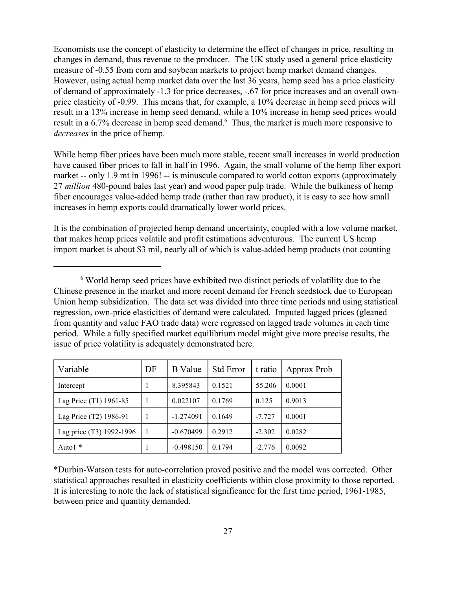Economists use the concept of elasticity to determine the effect of changes in price, resulting in changes in demand, thus revenue to the producer. The UK study used a general price elasticity measure of -0.55 from corn and soybean markets to project hemp market demand changes. However, using actual hemp market data over the last 36 years, hemp seed has a price elasticity of demand of approximately -1.3 for price decreases, -.67 for price increases and an overall ownprice elasticity of -0.99. This means that, for example, a 10% decrease in hemp seed prices will result in a 13% increase in hemp seed demand, while a 10% increase in hemp seed prices would result in a 6.7% decrease in hemp seed demand.<sup>6</sup> Thus, the market is much more responsive to *decreases* in the price of hemp.

While hemp fiber prices have been much more stable, recent small increases in world production have caused fiber prices to fall in half in 1996. Again, the small volume of the hemp fiber export market -- only 1.9 mt in 1996! -- is minuscule compared to world cotton exports (approximately 27 *million* 480-pound bales last year) and wood paper pulp trade. While the bulkiness of hemp fiber encourages value-added hemp trade (rather than raw product), it is easy to see how small increases in hemp exports could dramatically lower world prices.

It is the combination of projected hemp demand uncertainty, coupled with a low volume market, that makes hemp prices volatile and profit estimations adventurous. The current US hemp import market is about \$3 mil, nearly all of which is value-added hemp products (not counting

<sup>&</sup>lt;sup>6</sup> World hemp seed prices have exhibited two distinct periods of volatility due to the Chinese presence in the market and more recent demand for French seedstock due to European Union hemp subsidization. The data set was divided into three time periods and using statistical regression, own-price elasticities of demand were calculated. Imputed lagged prices (gleaned from quantity and value FAO trade data) were regressed on lagged trade volumes in each time period. While a fully specified market equilibrium model might give more precise results, the issue of price volatility is adequately demonstrated here.

| Variable                 | DF | <b>B</b> Value | <b>Std Error</b> | t ratio  | Approx Prob |
|--------------------------|----|----------------|------------------|----------|-------------|
| Intercept                |    | 8.395843       | 0.1521           | 55.206   | 0.0001      |
| Lag Price (T1) 1961-85   | 1  | 0.022107       | 0.1769           | 0.125    | 0.9013      |
| Lag Price (T2) 1986-91   | 1  | $-1.274091$    | 0.1649           | $-7.727$ | 0.0001      |
| Lag price (T3) 1992-1996 | 1  | $-0.670499$    | 0.2912           | $-2.302$ | 0.0282      |
| Auto1 *                  |    | $-0.498150$    | 0.1794           | $-2.776$ | 0.0092      |

\*Durbin-Watson tests for auto-correlation proved positive and the model was corrected. Other statistical approaches resulted in elasticity coefficients within close proximity to those reported. It is interesting to note the lack of statistical significance for the first time period, 1961-1985, between price and quantity demanded.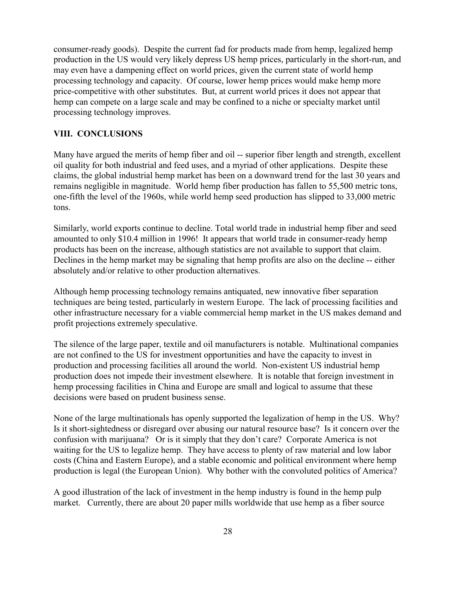consumer-ready goods). Despite the current fad for products made from hemp, legalized hemp production in the US would very likely depress US hemp prices, particularly in the short-run, and may even have a dampening effect on world prices, given the current state of world hemp processing technology and capacity. Of course, lower hemp prices would make hemp more price-competitive with other substitutes. But, at current world prices it does not appear that hemp can compete on a large scale and may be confined to a niche or specialty market until processing technology improves.

#### **VIII. CONCLUSIONS**

Many have argued the merits of hemp fiber and oil -- superior fiber length and strength, excellent oil quality for both industrial and feed uses, and a myriad of other applications. Despite these claims, the global industrial hemp market has been on a downward trend for the last 30 years and remains negligible in magnitude. World hemp fiber production has fallen to 55,500 metric tons, one-fifth the level of the 1960s, while world hemp seed production has slipped to 33,000 metric tons.

Similarly, world exports continue to decline. Total world trade in industrial hemp fiber and seed amounted to only \$10.4 million in 1996! It appears that world trade in consumer-ready hemp products has been on the increase, although statistics are not available to support that claim. Declines in the hemp market may be signaling that hemp profits are also on the decline -- either absolutely and/or relative to other production alternatives.

Although hemp processing technology remains antiquated, new innovative fiber separation techniques are being tested, particularly in western Europe. The lack of processing facilities and other infrastructure necessary for a viable commercial hemp market in the US makes demand and profit projections extremely speculative.

The silence of the large paper, textile and oil manufacturers is notable. Multinational companies are not confined to the US for investment opportunities and have the capacity to invest in production and processing facilities all around the world. Non-existent US industrial hemp production does not impede their investment elsewhere. It is notable that foreign investment in hemp processing facilities in China and Europe are small and logical to assume that these decisions were based on prudent business sense.

None of the large multinationals has openly supported the legalization of hemp in the US. Why? Is it short-sightedness or disregard over abusing our natural resource base? Is it concern over the confusion with marijuana? Or is it simply that they don't care? Corporate America is not waiting for the US to legalize hemp. They have access to plenty of raw material and low labor costs (China and Eastern Europe), and a stable economic and political environment where hemp production is legal (the European Union). Why bother with the convoluted politics of America?

A good illustration of the lack of investment in the hemp industry is found in the hemp pulp market. Currently, there are about 20 paper mills worldwide that use hemp as a fiber source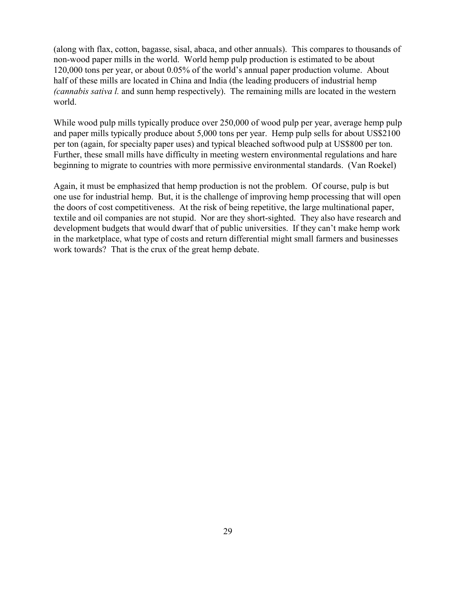(along with flax, cotton, bagasse, sisal, abaca, and other annuals). This compares to thousands of non-wood paper mills in the world. World hemp pulp production is estimated to be about 120,000 tons per year, or about 0.05% of the world's annual paper production volume. About half of these mills are located in China and India (the leading producers of industrial hemp *(cannabis sativa l.* and sunn hemp respectively). The remaining mills are located in the western world.

While wood pulp mills typically produce over 250,000 of wood pulp per year, average hemp pulp and paper mills typically produce about 5,000 tons per year. Hemp pulp sells for about US\$2100 per ton (again, for specialty paper uses) and typical bleached softwood pulp at US\$800 per ton. Further, these small mills have difficulty in meeting western environmental regulations and hare beginning to migrate to countries with more permissive environmental standards. (Van Roekel)

Again, it must be emphasized that hemp production is not the problem. Of course, pulp is but one use for industrial hemp. But, it is the challenge of improving hemp processing that will open the doors of cost competitiveness. At the risk of being repetitive, the large multinational paper, textile and oil companies are not stupid. Nor are they short-sighted. They also have research and development budgets that would dwarf that of public universities. If they can't make hemp work in the marketplace, what type of costs and return differential might small farmers and businesses work towards? That is the crux of the great hemp debate.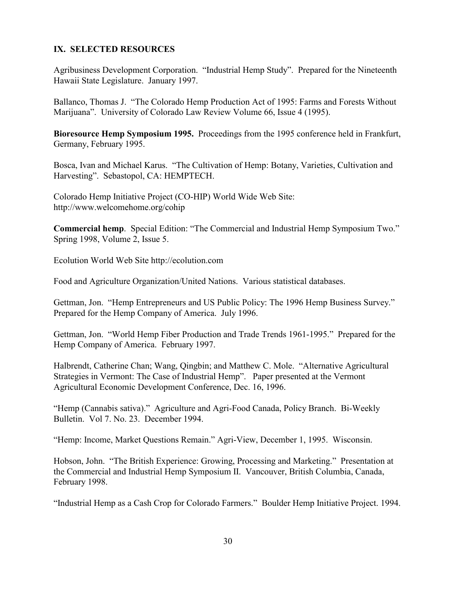# **IX. SELECTED RESOURCES**

Agribusiness Development Corporation. "Industrial Hemp Study". Prepared for the Nineteenth Hawaii State Legislature. January 1997.

Ballanco, Thomas J. "The Colorado Hemp Production Act of 1995: Farms and Forests Without Marijuana". University of Colorado Law Review Volume 66, Issue 4 (1995).

**Bioresource Hemp Symposium 1995.** Proceedings from the 1995 conference held in Frankfurt, Germany, February 1995.

Bosca, Ivan and Michael Karus. "The Cultivation of Hemp: Botany, Varieties, Cultivation and Harvesting". Sebastopol, CA: HEMPTECH.

Colorado Hemp Initiative Project (CO-HIP) World Wide Web Site: http://www.welcomehome.org/cohip

**Commercial hemp.** Special Edition: "The Commercial and Industrial Hemp Symposium Two." Spring 1998, Volume 2, Issue 5.

Ecolution World Web Site http://ecolution.com

Food and Agriculture Organization/United Nations. Various statistical databases.

Gettman, Jon. "Hemp Entrepreneurs and US Public Policy: The 1996 Hemp Business Survey." Prepared for the Hemp Company of America. July 1996.

Gettman, Jon. "World Hemp Fiber Production and Trade Trends 1961-1995." Prepared for the Hemp Company of America. February 1997.

Halbrendt, Catherine Chan; Wang, Qingbin; and Matthew C. Mole. "Alternative Agricultural Strategies in Vermont: The Case of Industrial Hemp". Paper presented at the Vermont Agricultural Economic Development Conference, Dec. 16, 1996.

"Hemp (Cannabis sativa)." Agriculture and Agri-Food Canada, Policy Branch. Bi-Weekly Bulletin. Vol 7. No. 23. December 1994.

*Hemp: Income, Market Questions Remain.*<sup>2</sup> Agri-View, December 1, 1995. Wisconsin.

Hobson, John. "The British Experience: Growing, Processing and Marketing." Presentation at the Commercial and Industrial Hemp Symposium II. Vancouver, British Columbia, Canada, February 1998.

"Industrial Hemp as a Cash Crop for Colorado Farmers." Boulder Hemp Initiative Project. 1994.